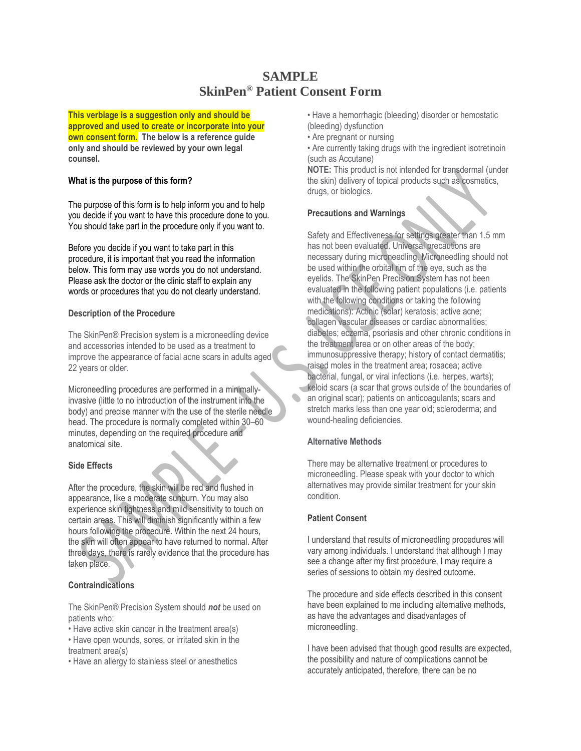# **SAMPLE SkinPen® Patient Consent Form**

**This verbiage is a suggestion only and should be approved and used to create or incorporate into your own consent form. The below is a reference guide only and should be reviewed by your own legal counsel.**

# **What is the purpose of this form?**

The purpose of this form is to help inform you and to help you decide if you want to have this procedure done to you. You should take part in the procedure only if you want to.

Before you decide if you want to take part in this procedure, it is important that you read the information below. This form may use words you do not understand. Please ask the doctor or the clinic staff to explain any words or procedures that you do not clearly understand.

# **Description of the Procedure**

The SkinPen® Precision system is a microneedling device and accessories intended to be used as a treatment to improve the appearance of facial acne scars in adults aged 22 years or older.

Microneedling procedures are performed in a minimallyinvasive (little to no introduction of the instrument into the body) and precise manner with the use of the sterile needle head. The procedure is normally completed within 30–60 minutes, depending on the required procedure and anatomical site.

## **Side Effects**

After the procedure, the skin will be red and flushed in appearance, like a moderate sunburn. You may also experience skin tightness and mild sensitivity to touch on certain areas. This will diminish significantly within a few hours following the procedure. Within the next 24 hours, the skin will often appear to have returned to normal. After three days, there is rarely evidence that the procedure has taken place.

# **Contraindications**

The SkinPen® Precision System should *not* be used on patients who:

- Have active skin cancer in the treatment area(s)
- Have open wounds, sores, or irritated skin in the treatment area(s)
- Have an allergy to stainless steel or anesthetics

• Have a hemorrhagic (bleeding) disorder or hemostatic (bleeding) dysfunction

• Are pregnant or nursing

• Are currently taking drugs with the ingredient isotretinoin (such as Accutane)

**NOTE:** This product is not intended for transdermal (under the skin) delivery of topical products such as cosmetics, drugs, or biologics.

# **Precautions and Warnings**

Safety and Effectiveness for settings greater than 1.5 mm has not been evaluated. Universal precautions are necessary during microneedling. Microneedling should not be used within the orbital rim of the eye, such as the eyelids. The SkinPen Precision System has not been evaluated in the following patient populations (i.e. patients with the following conditions or taking the following medications): Actinic (solar) keratosis; active acne; collagen vascular diseases or cardiac abnormalities; diabetes; eczema, psoriasis and other chronic conditions in the treatment area or on other areas of the body; immunosuppressive therapy; history of contact dermatitis; raised moles in the treatment area; rosacea; active bacterial, fungal, or viral infections (i.e. herpes, warts); keloid scars (a scar that grows outside of the boundaries of an original scar); patients on anticoagulants; scars and stretch marks less than one year old; scleroderma; and wound-healing deficiencies.

## **Alternative Methods**

There may be alternative treatment or procedures to microneedling. Please speak with your doctor to which alternatives may provide similar treatment for your skin condition.

## **Patient Consent**

I understand that results of microneedling procedures will vary among individuals. I understand that although I may see a change after my first procedure, I may require a series of sessions to obtain my desired outcome.

The procedure and side effects described in this consent have been explained to me including alternative methods, as have the advantages and disadvantages of microneedling.

I have been advised that though good results are expected, the possibility and nature of complications cannot be accurately anticipated, therefore, there can be no